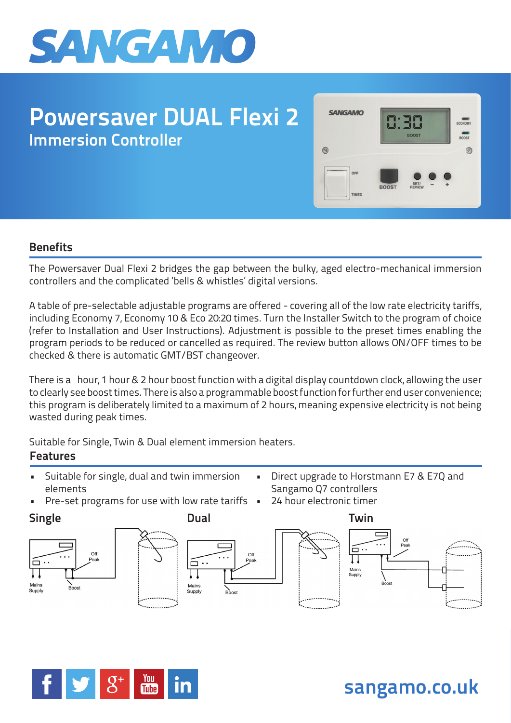

# **Powersaver DUAL Flexi 2 Immersion Controller**



## **Benefits**

The Powersaver Dual Flexi 2 bridges the gap between the bulky, aged electro-mechanical immersion controllers and the complicated 'bells & whistles' digital versions.

A table of pre-selectable adjustable programs are offered - covering all of the low rate electricity tariffs, including Economy 7, Economy 10 & Eco 20:20 times. Turn the Installer Switch to the program of choice (refer to Installation and User Instructions). Adjustment is possible to the preset times enabling the program periods to be reduced or cancelled as required. The review button allows ON/OFF times to be checked & there is automatic GMT/BST changeover.

There is a 1/20ur, 1 hour & 2 hour boost function with a digital display countdown clock, allowing the user to clearly see boost times. There is also a programmable boost function for further end user convenience; this program is deliberately limited to a maximum of 2 hours, meaning expensive electricity is not being wasted during peak times.

Suitable for Single, Twin & Dual element immersion heaters.

## **Features**

- Suitable for single, dual and twin immersion elements
	- Pre-set programs for use with low rate tariffs







• Direct upgrade to Horstmann E7 & E7Q and Sangamo Q7 controllers

24 hour electronic timer





**sangamo.co.uk**